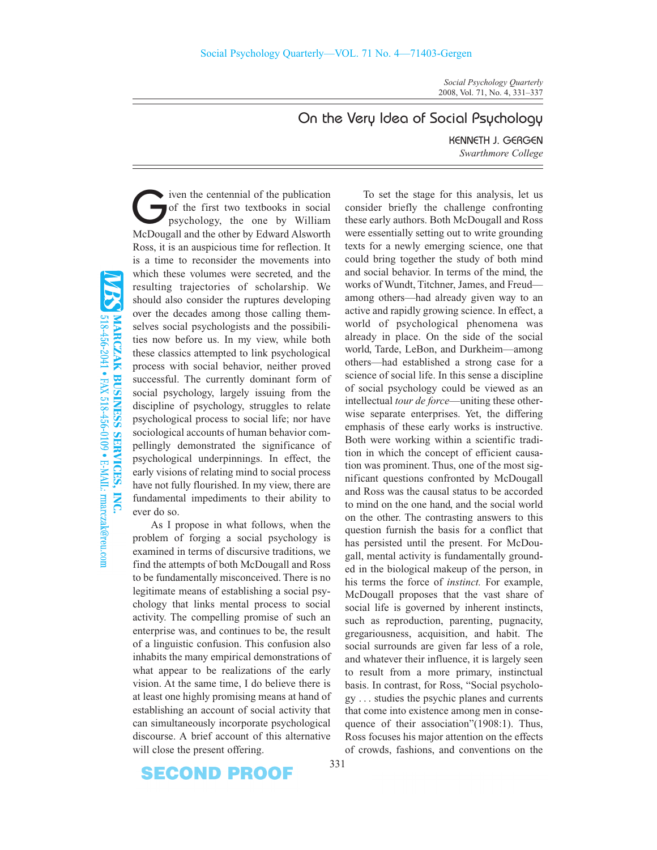*Social Psychology Quarterly* 2008, Vol. 71, No. 4, 331–337

## On the Very Idea of Social Psychology

KENNETH J. GERGEN *Swarthmore College*

 $\blacktriangleright$  iven the centennial of the publication of the first two textbooks in social psychology, the one by William McDougall and the other by Edward Alsworth Ross, it is an auspicious time for reflection. It is a time to reconsider the movements into which these volumes were secreted, and the resulting trajectories of scholarship. We should also consider the ruptures developing over the decades among those calling themselves social psychologists and the possibilities now before us. In my view, while both these classics attempted to link psychological process with social behavior, neither proved successful. The currently dominant form of social psychology, largely issuing from the discipline of psychology, struggles to relate psychological process to social life; nor have sociological accounts of human behavior compellingly demonstrated the significance of psychological underpinnings. In effect, the early visions of relating mind to social process have not fully flourished. In my view, there are fundamental impediments to their ability to ever do so.

As I propose in what follows, when the problem of forging a social psychology is examined in terms of discursive traditions, we find the attempts of both McDougall and Ross to be fundamentally misconceived. There is no legitimate means of establishing a social psychology that links mental process to social activity. The compelling promise of such an enterprise was, and continues to be, the result of a linguistic confusion. This confusion also inhabits the many empirical demonstrations of what appear to be realizations of the early vision. At the same time, I do believe there is at least one highly promising means at hand of establishing an account of social activity that can simultaneously incorporate psychological discourse. A brief account of this alternative will close the present offering.

To set the stage for this analysis, let us consider briefly the challenge confronting these early authors. Both McDougall and Ross were essentially setting out to write grounding texts for a newly emerging science, one that could bring together the study of both mind and social behavior. In terms of the mind, the works of Wundt, Titchner, James, and Freud among others—had already given way to an active and rapidly growing science. In effect, a world of psychological phenomena was already in place. On the side of the social world, Tarde, LeBon, and Durkheim—among others—had established a strong case for a science of social life. In this sense a discipline of social psychology could be viewed as an intellectual *tour de force*—uniting these otherwise separate enterprises. Yet, the differing emphasis of these early works is instructive. Both were working within a scientific tradition in which the concept of efficient causation was prominent. Thus, one of the most significant questions confronted by McDougall and Ross was the causal status to be accorded to mind on the one hand, and the social world on the other. The contrasting answers to this question furnish the basis for a conflict that has persisted until the present. For McDougall, mental activity is fundamentally grounded in the biological makeup of the person, in his terms the force of *instinct.* For example, McDougall proposes that the vast share of social life is governed by inherent instincts, such as reproduction, parenting, pugnacity, gregariousness, acquisition, and habit. The social surrounds are given far less of a role, and whatever their influence, it is largely seen to result from a more primary, instinctual basis. In contrast, for Ross, "Social psychology .|.|. studies the psychic planes and currents that come into existence among men in consequence of their association"(1908:1). Thus, Ross focuses his major attention on the effects of crowds, fashions, and conventions on the

**SECOND PROOF** 

331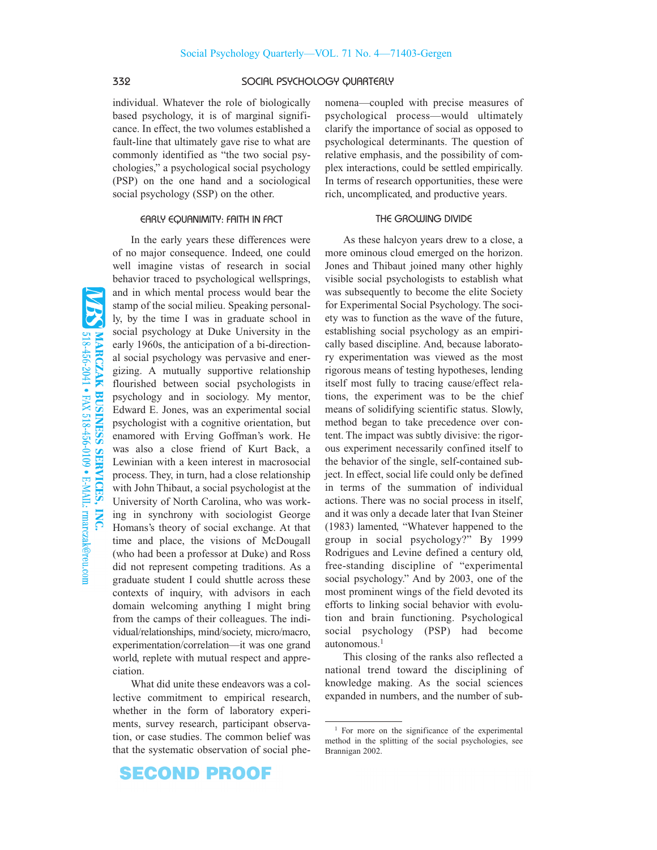### 332 SOCIAL PSYCHOLOGY QUARTERLY

individual. Whatever the role of biologically based psychology, it is of marginal significance. In effect, the two volumes established a fault-line that ultimately gave rise to what are commonly identified as "the two social psychologies," a psychological social psychology (PSP) on the one hand and a sociological social psychology (SSP) on the other.

#### EARLY EQUANIMITY: FAITH IN FACT

518-456-2041 • FAX 518-456-0109 • E-MAIL: rmarczak@reu.com MARCZAK BUSINESS SERVICES, INC.

In the early years these differences were of no major consequence. Indeed, one could well imagine vistas of research in social behavior traced to psychological wellsprings, and in which mental process would bear the stamp of the social milieu. Speaking personally, by the time I was in graduate school in social psychology at Duke University in the early 1960s, the anticipation of a bi-directional social psychology was pervasive and energizing. A mutually supportive relationship flourished between social psychologists in psychology and in sociology. My mentor, Edward E. Jones, was an experimental social psychologist with a cognitive orientation, but enamored with Erving Goffman's work. He was also a close friend of Kurt Back, a Lewinian with a keen interest in macrosocial process. They, in turn, had a close relationship with John Thibaut, a social psychologist at the University of North Carolina, who was working in synchrony with sociologist George Homans's theory of social exchange. At that time and place, the visions of McDougall (who had been a professor at Duke) and Ross did not represent competing traditions. As a graduate student I could shuttle across these contexts of inquiry, with advisors in each domain welcoming anything I might bring from the camps of their colleagues. The individual/relationships, mind/society, micro/macro, experimentation/correlation—it was one grand world, replete with mutual respect and appreciation.

What did unite these endeavors was a collective commitment to empirical research, whether in the form of laboratory experiments, survey research, participant observation, or case studies. The common belief was that the systematic observation of social phenomena—coupled with precise measures of psychological process—would ultimately clarify the importance of social as opposed to psychological determinants. The question of relative emphasis, and the possibility of complex interactions, could be settled empirically. In terms of research opportunities, these were rich, uncomplicated, and productive years.

#### THE GROWING DIVIDE

As these halcyon years drew to a close, a more ominous cloud emerged on the horizon. Jones and Thibaut joined many other highly visible social psychologists to establish what was subsequently to become the elite Society for Experimental Social Psychology. The society was to function as the wave of the future, establishing social psychology as an empirically based discipline. And, because laboratory experimentation was viewed as the most rigorous means of testing hypotheses, lending itself most fully to tracing cause/effect relations, the experiment was to be the chief means of solidifying scientific status. Slowly, method began to take precedence over content. The impact was subtly divisive: the rigorous experiment necessarily confined itself to the behavior of the single, self-contained subject. In effect, social life could only be defined in terms of the summation of individual actions. There was no social process in itself, and it was only a decade later that Ivan Steiner (1983) lamented, "Whatever happened to the group in social psychology?" By 1999 Rodrigues and Levine defined a century old, free-standing discipline of "experimental social psychology." And by 2003, one of the most prominent wings of the field devoted its efforts to linking social behavior with evolution and brain functioning. Psychological social psychology (PSP) had become autonomous.1

This closing of the ranks also reflected a national trend toward the disciplining of knowledge making. As the social sciences expanded in numbers, and the number of sub-

<sup>&</sup>lt;sup>1</sup> For more on the significance of the experimental method in the splitting of the social psychologies, see Brannigan 2002.

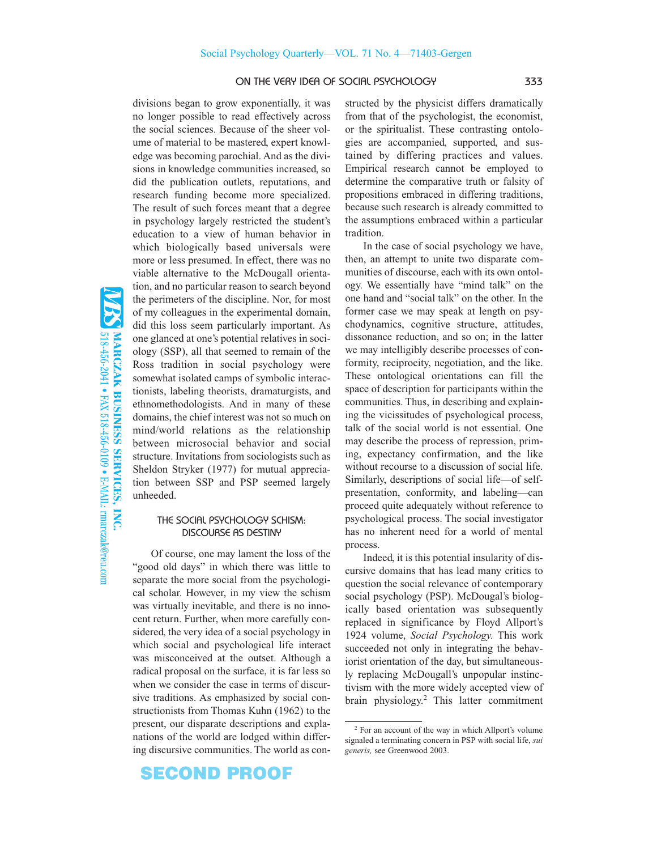### ON THE VERY IDEA OF SOCIAL PSYCHOLOGY 333

divisions began to grow exponentially, it was no longer possible to read effectively across the social sciences. Because of the sheer volume of material to be mastered, expert knowledge was becoming parochial. And as the divisions in knowledge communities increased, so did the publication outlets, reputations, and research funding become more specialized. The result of such forces meant that a degree in psychology largely restricted the student's education to a view of human behavior in which biologically based universals were more or less presumed. In effect, there was no viable alternative to the McDougall orientation, and no particular reason to search beyond the perimeters of the discipline. Nor, for most of my colleagues in the experimental domain, did this loss seem particularly important. As one glanced at one's potential relatives in sociology (SSP), all that seemed to remain of the Ross tradition in social psychology were somewhat isolated camps of symbolic interactionists, labeling theorists, dramaturgists, and ethnomethodologists. And in many of these domains, the chief interest was not so much on mind/world relations as the relationship between microsocial behavior and social structure. Invitations from sociologists such as Sheldon Stryker (1977) for mutual appreciation between SSP and PSP seemed largely unheeded.

#### THE SOCIAL PSYCHOLOGY SCHISM: DISCOURSE AS DESTINY

Of course, one may lament the loss of the "good old days" in which there was little to separate the more social from the psychological scholar. However, in my view the schism was virtually inevitable, and there is no innocent return. Further, when more carefully considered, the very idea of a social psychology in which social and psychological life interact was misconceived at the outset. Although a radical proposal on the surface, it is far less so when we consider the case in terms of discursive traditions. As emphasized by social constructionists from Thomas Kuhn (1962) to the present, our disparate descriptions and explanations of the world are lodged within differing discursive communities. The world as con-

**SECOND PROOF** 

structed by the physicist differs dramatically from that of the psychologist, the economist, or the spiritualist. These contrasting ontologies are accompanied, supported, and sustained by differing practices and values. Empirical research cannot be employed to determine the comparative truth or falsity of propositions embraced in differing traditions, because such research is already committed to the assumptions embraced within a particular tradition.

In the case of social psychology we have, then, an attempt to unite two disparate communities of discourse, each with its own ontology. We essentially have "mind talk" on the one hand and "social talk" on the other. In the former case we may speak at length on psychodynamics, cognitive structure, attitudes, dissonance reduction, and so on; in the latter we may intelligibly describe processes of conformity, reciprocity, negotiation, and the like. These ontological orientations can fill the space of description for participants within the communities. Thus, in describing and explaining the vicissitudes of psychological process, talk of the social world is not essential. One may describe the process of repression, priming, expectancy confirmation, and the like without recourse to a discussion of social life. Similarly, descriptions of social life—of selfpresentation, conformity, and labeling—can proceed quite adequately without reference to psychological process. The social investigator has no inherent need for a world of mental process.

Indeed, it is this potential insularity of discursive domains that has lead many critics to question the social relevance of contemporary social psychology (PSP). McDougal's biologically based orientation was subsequently replaced in significance by Floyd Allport's 1924 volume, *Social Psychology.* This work succeeded not only in integrating the behaviorist orientation of the day, but simultaneously replacing McDougall's unpopular instinctivism with the more widely accepted view of brain physiology.2 This latter commitment

<sup>2</sup> For an account of the way in which Allport's volume signaled a terminating concern in PSP with social life, *sui generis,* see Greenwood 2003.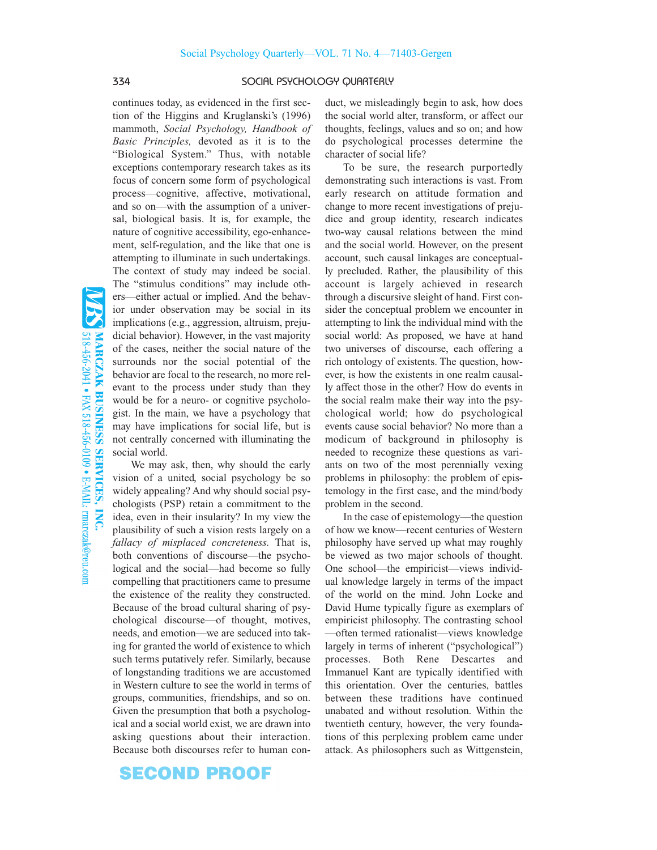### 334 SOCIAL PSYCHOLOGY QUARTERLY

continues today, as evidenced in the first section of the Higgins and Kruglanski's (1996) mammoth, *Social Psychology, Handbook of Basic Principles,* devoted as it is to the "Biological System." Thus, with notable exceptions contemporary research takes as its focus of concern some form of psychological process—cognitive, affective, motivational, and so on—with the assumption of a universal, biological basis. It is, for example, the nature of cognitive accessibility, ego-enhancement, self-regulation, and the like that one is attempting to illuminate in such undertakings. The context of study may indeed be social. The "stimulus conditions" may include others—either actual or implied. And the behavior under observation may be social in its implications (e.g., aggression, altruism, prejudicial behavior). However, in the vast majority of the cases, neither the social nature of the surrounds nor the social potential of the behavior are focal to the research, no more relevant to the process under study than they would be for a neuro- or cognitive psychologist. In the main, we have a psychology that may have implications for social life, but is not centrally concerned with illuminating the social world.

We may ask, then, why should the early vision of a united, social psychology be so widely appealing? And why should social psychologists (PSP) retain a commitment to the idea, even in their insularity? In my view the plausibility of such a vision rests largely on a *fallacy of misplaced concreteness.* That is, both conventions of discourse—the psychological and the social—had become so fully compelling that practitioners came to presume the existence of the reality they constructed. Because of the broad cultural sharing of psychological discourse—of thought, motives, needs, and emotion—we are seduced into taking for granted the world of existence to which such terms putatively refer. Similarly, because of longstanding traditions we are accustomed in Western culture to see the world in terms of groups, communities, friendships, and so on. Given the presumption that both a psychological and a social world exist, we are drawn into asking questions about their interaction. Because both discourses refer to human con-

**SECOND PROOF** 

duct, we misleadingly begin to ask, how does the social world alter, transform, or affect our thoughts, feelings, values and so on; and how do psychological processes determine the character of social life?

To be sure, the research purportedly demonstrating such interactions is vast. From early research on attitude formation and change to more recent investigations of prejudice and group identity, research indicates two-way causal relations between the mind and the social world. However, on the present account, such causal linkages are conceptually precluded. Rather, the plausibility of this account is largely achieved in research through a discursive sleight of hand. First consider the conceptual problem we encounter in attempting to link the individual mind with the social world: As proposed, we have at hand two universes of discourse, each offering a rich ontology of existents. The question, however, is how the existents in one realm causally affect those in the other? How do events in the social realm make their way into the psychological world; how do psychological events cause social behavior? No more than a modicum of background in philosophy is needed to recognize these questions as variants on two of the most perennially vexing problems in philosophy: the problem of epistemology in the first case, and the mind/body problem in the second.

In the case of epistemology—the question of how we know—recent centuries of Western philosophy have served up what may roughly be viewed as two major schools of thought. One school—the empiricist—views individual knowledge largely in terms of the impact of the world on the mind. John Locke and David Hume typically figure as exemplars of empiricist philosophy. The contrasting school —often termed rationalist—views knowledge largely in terms of inherent ("psychological") processes. Both Rene Descartes and Immanuel Kant are typically identified with this orientation. Over the centuries, battles between these traditions have continued unabated and without resolution. Within the twentieth century, however, the very foundations of this perplexing problem came under attack. As philosophers such as Wittgenstein,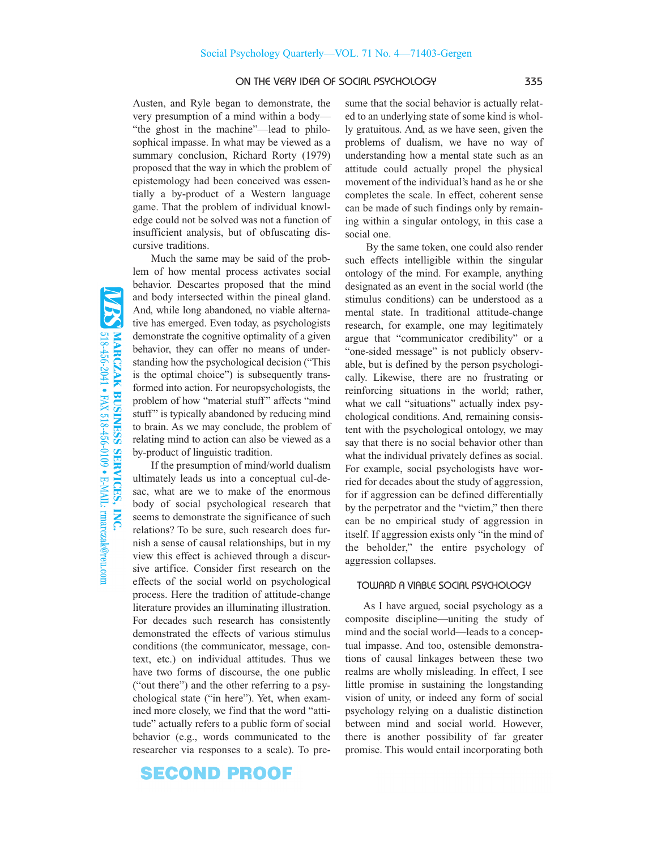### ON THE VERY IDEA OF SOCIAL PSYCHOLOGY 335

Austen, and Ryle began to demonstrate, the very presumption of a mind within a body— "the ghost in the machine"—lead to philosophical impasse. In what may be viewed as a summary conclusion, Richard Rorty (1979) proposed that the way in which the problem of epistemology had been conceived was essentially a by-product of a Western language game. That the problem of individual knowledge could not be solved was not a function of insufficient analysis, but of obfuscating discursive traditions.

Much the same may be said of the problem of how mental process activates social behavior. Descartes proposed that the mind and body intersected within the pineal gland. And, while long abandoned, no viable alternative has emerged. Even today, as psychologists demonstrate the cognitive optimality of a given behavior, they can offer no means of understanding how the psychological decision ("This is the optimal choice") is subsequently transformed into action. For neuropsychologists, the problem of how "material stuff" affects "mind stuff" is typically abandoned by reducing mind to brain. As we may conclude, the problem of relating mind to action can also be viewed as a by-product of linguistic tradition.

If the presumption of mind/world dualism ultimately leads us into a conceptual cul-desac, what are we to make of the enormous body of social psychological research that seems to demonstrate the significance of such relations? To be sure, such research does furnish a sense of causal relationships, but in my view this effect is achieved through a discursive artifice. Consider first research on the effects of the social world on psychological process. Here the tradition of attitude-change literature provides an illuminating illustration. For decades such research has consistently demonstrated the effects of various stimulus conditions (the communicator, message, context, etc.) on individual attitudes. Thus we have two forms of discourse, the one public ("out there") and the other referring to a psychological state ("in here"). Yet, when examined more closely, we find that the word "attitude" actually refers to a public form of social behavior (e.g., words communicated to the researcher via responses to a scale). To pre-

## SECOND PROOF

sume that the social behavior is actually related to an underlying state of some kind is wholly gratuitous. And, as we have seen, given the problems of dualism, we have no way of understanding how a mental state such as an attitude could actually propel the physical movement of the individual's hand as he or she completes the scale. In effect, coherent sense can be made of such findings only by remaining within a singular ontology, in this case a social one.

By the same token, one could also render such effects intelligible within the singular ontology of the mind. For example, anything designated as an event in the social world (the stimulus conditions) can be understood as a mental state. In traditional attitude-change research, for example, one may legitimately argue that "communicator credibility" or a "one-sided message" is not publicly observable, but is defined by the person psychologically. Likewise, there are no frustrating or reinforcing situations in the world; rather, what we call "situations" actually index psychological conditions. And, remaining consistent with the psychological ontology, we may say that there is no social behavior other than what the individual privately defines as social. For example, social psychologists have worried for decades about the study of aggression, for if aggression can be defined differentially by the perpetrator and the "victim," then there can be no empirical study of aggression in itself. If aggression exists only "in the mind of the beholder," the entire psychology of aggression collapses.

### TOWARD A VIABLE SOCIAL PSYCHOLOGY

As I have argued, social psychology as a composite discipline—uniting the study of mind and the social world—leads to a conceptual impasse. And too, ostensible demonstrations of causal linkages between these two realms are wholly misleading. In effect, I see little promise in sustaining the longstanding vision of unity, or indeed any form of social psychology relying on a dualistic distinction between mind and social world. However, there is another possibility of far greater promise. This would entail incorporating both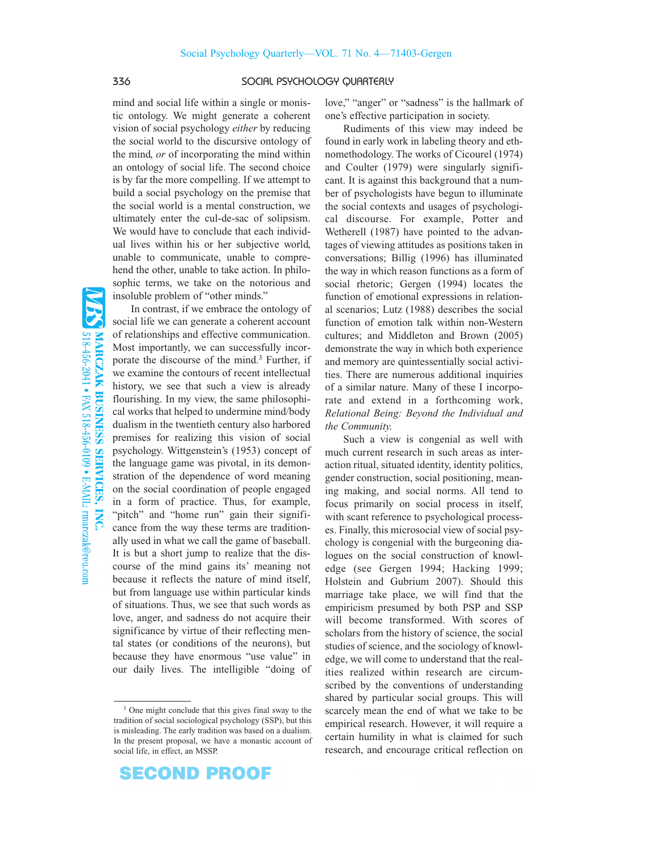### 336 SOCIAL PSYCHOLOGY QUARTERLY

mind and social life within a single or monistic ontology. We might generate a coherent vision of social psychology *either* by reducing the social world to the discursive ontology of the mind, *or* of incorporating the mind within an ontology of social life. The second choice is by far the more compelling. If we attempt to build a social psychology on the premise that the social world is a mental construction, we ultimately enter the cul-de-sac of solipsism. We would have to conclude that each individual lives within his or her subjective world, unable to communicate, unable to comprehend the other, unable to take action. In philosophic terms, we take on the notorious and insoluble problem of "other minds."

In contrast, if we embrace the ontology of social life we can generate a coherent account of relationships and effective communication. Most importantly, we can successfully incorporate the discourse of the mind.3 Further, if we examine the contours of recent intellectual history, we see that such a view is already flourishing. In my view, the same philosophical works that helped to undermine mind/body dualism in the twentieth century also harbored premises for realizing this vision of social psychology. Wittgenstein's (1953) concept of the language game was pivotal, in its demonstration of the dependence of word meaning on the social coordination of people engaged in a form of practice. Thus, for example, "pitch" and "home run" gain their significance from the way these terms are traditionally used in what we call the game of baseball. It is but a short jump to realize that the discourse of the mind gains its' meaning not because it reflects the nature of mind itself, but from language use within particular kinds of situations. Thus, we see that such words as love, anger, and sadness do not acquire their significance by virtue of their reflecting mental states (or conditions of the neurons), but because they have enormous "use value" in our daily lives. The intelligible "doing of love," "anger" or "sadness" is the hallmark of one's effective participation in society.

Rudiments of this view may indeed be found in early work in labeling theory and ethnomethodology. The works of Cicourel (1974) and Coulter (1979) were singularly significant. It is against this background that a number of psychologists have begun to illuminate the social contexts and usages of psychological discourse. For example, Potter and Wetherell (1987) have pointed to the advantages of viewing attitudes as positions taken in conversations; Billig (1996) has illuminated the way in which reason functions as a form of social rhetoric; Gergen (1994) locates the function of emotional expressions in relational scenarios; Lutz (1988) describes the social function of emotion talk within non-Western cultures; and Middleton and Brown (2005) demonstrate the way in which both experience and memory are quintessentially social activities. There are numerous additional inquiries of a similar nature. Many of these I incorporate and extend in a forthcoming work, *Relational Being: Beyond the Individual and the Community.*

Such a view is congenial as well with much current research in such areas as interaction ritual, situated identity, identity politics, gender construction, social positioning, meaning making, and social norms. All tend to focus primarily on social process in itself, with scant reference to psychological processes. Finally, this microsocial view of social psychology is congenial with the burgeoning dialogues on the social construction of knowledge (see Gergen 1994; Hacking 1999; Holstein and Gubrium 2007). Should this marriage take place, we will find that the empiricism presumed by both PSP and SSP will become transformed. With scores of scholars from the history of science, the social studies of science, and the sociology of knowledge, we will come to understand that the realities realized within research are circumscribed by the conventions of understanding shared by particular social groups. This will scarcely mean the end of what we take to be empirical research. However, it will require a certain humility in what is claimed for such research, and encourage critical reflection on

# **SECOND PROOF**

<sup>3</sup> One might conclude that this gives final sway to the tradition of social sociological psychology (SSP), but this is misleading. The early tradition was based on a dualism. In the present proposal, we have a monastic account of social life, in effect, an MSSP.